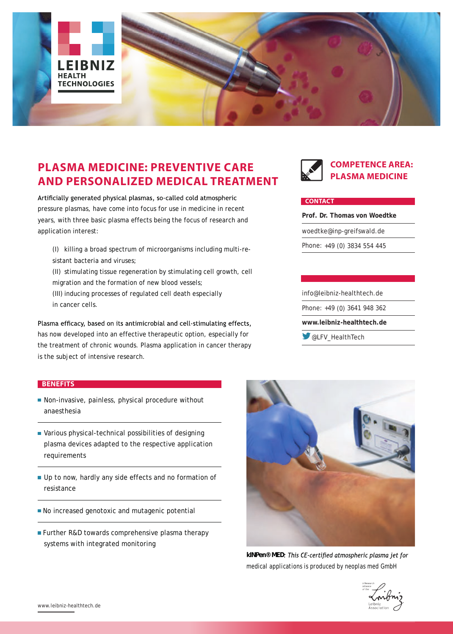

# **PLASMA MEDICINE: PREVENTIVE CARE AND PERSONALIZED MEDICAL TREATMENT**

Artificially generated physical plasmas, so-called cold atmospheric pressure plasmas, have come into focus for use in medicine in recent years, with three basic plasma effects being the focus of research and application interest:

- (I) killing a broad spectrum of microorganisms including multi-resistant bacteria and viruses;
- (II) stimulating tissue regeneration by stimulating cell growth, cell migration and the formation of new blood vessels; (III) inducing processes of regulated cell death especially
- in cancer cells.

Plasma efficacy, based on its antimicrobial and cell-stimulating effects, has now developed into an effective therapeutic option, especially for the treatment of chronic wounds. Plasma application in cancer therapy is the subject of intensive research.



### **COMPETENCE AREA: PLASMA MEDICINE**

#### **CONTACT**

**Prof. Dr. Thomas von Woedtke** woedtke@inp-greifswald.de Phone: +49 (0) 3834 554 445

info@leibniz-healthtech.de Phone: +49 (0) 3641 948 362 **www.leibniz-healthtech.de W** @LFV HealthTech

#### **BENEFITS**

- Non-invasive, painless, physical procedure without anaesthesia
- Various physical-technical possibilities of designing plasma devices adapted to the respective application requirements
- Up to now, hardly any side effects and no formation of resistance
- No increased genotoxic and mutagenic potential
- **Further R&D towards comprehensive plasma therapy** systems with integrated monitoring



*kINPen® MED medical applications is produced by neoplas med GmbH*